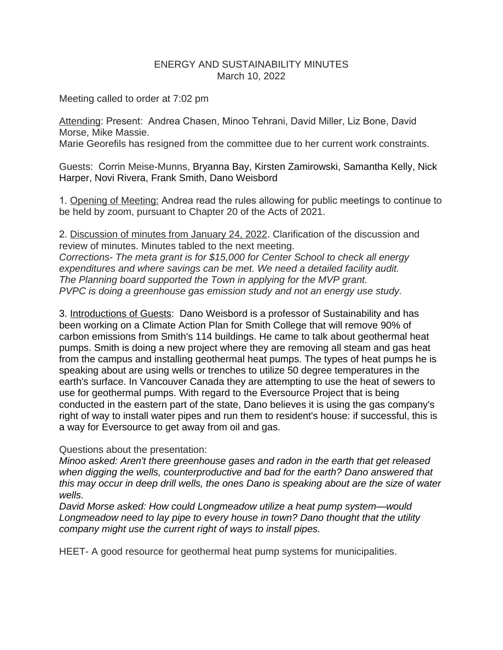## ENERGY AND SUSTAINABILITY MINUTES March 10, 2022

Meeting called to order at 7:02 pm

Attending: Present: Andrea Chasen, Minoo Tehrani, David Miller, Liz Bone, David Morse, Mike Massie.

Marie Georefils has resigned from the committee due to her current work constraints.

Guests: Corrin Meise-Munns, Bryanna Bay, Kirsten Zamirowski, Samantha Kelly, Nick Harper, Novi Rivera, Frank Smith, Dano Weisbord

1. Opening of Meeting: Andrea read the rules allowing for public meetings to continue to be held by zoom, pursuant to Chapter 20 of the Acts of 2021.

2. Discussion of minutes from January 24, 2022. Clarification of the discussion and review of minutes. Minutes tabled to the next meeting. *Corrections- The meta grant is for \$15,000 for Center School to check all energy expenditures and where savings can be met. We need a detailed facility audit. The Planning board supported the Town in applying for the MVP grant. PVPC is doing a greenhouse gas emission study and not an energy use study.*

3. Introductions of Guests: Dano Weisbord is a professor of Sustainability and has been working on a Climate Action Plan for Smith College that will remove 90% of carbon emissions from Smith's 114 buildings. He came to talk about geothermal heat pumps. Smith is doing a new project where they are removing all steam and gas heat from the campus and installing geothermal heat pumps. The types of heat pumps he is speaking about are using wells or trenches to utilize 50 degree temperatures in the earth's surface. In Vancouver Canada they are attempting to use the heat of sewers to use for geothermal pumps. With regard to the Eversource Project that is being conducted in the eastern part of the state, Dano believes it is using the gas company's right of way to install water pipes and run them to resident's house: if successful, this is a way for Eversource to get away from oil and gas.

Questions about the presentation:

*Minoo asked: Aren't there greenhouse gases and radon in the earth that get released when digging the wells, counterproductive and bad for the earth? Dano answered that this may occur in deep drill wells, the ones Dano is speaking about are the size of water wells.* 

*David Morse asked: How could Longmeadow utilize a heat pump system—would Longmeadow need to lay pipe to every house in town? Dano thought that the utility company might use the current right of ways to install pipes.*

HEET- A good resource for geothermal heat pump systems for municipalities.